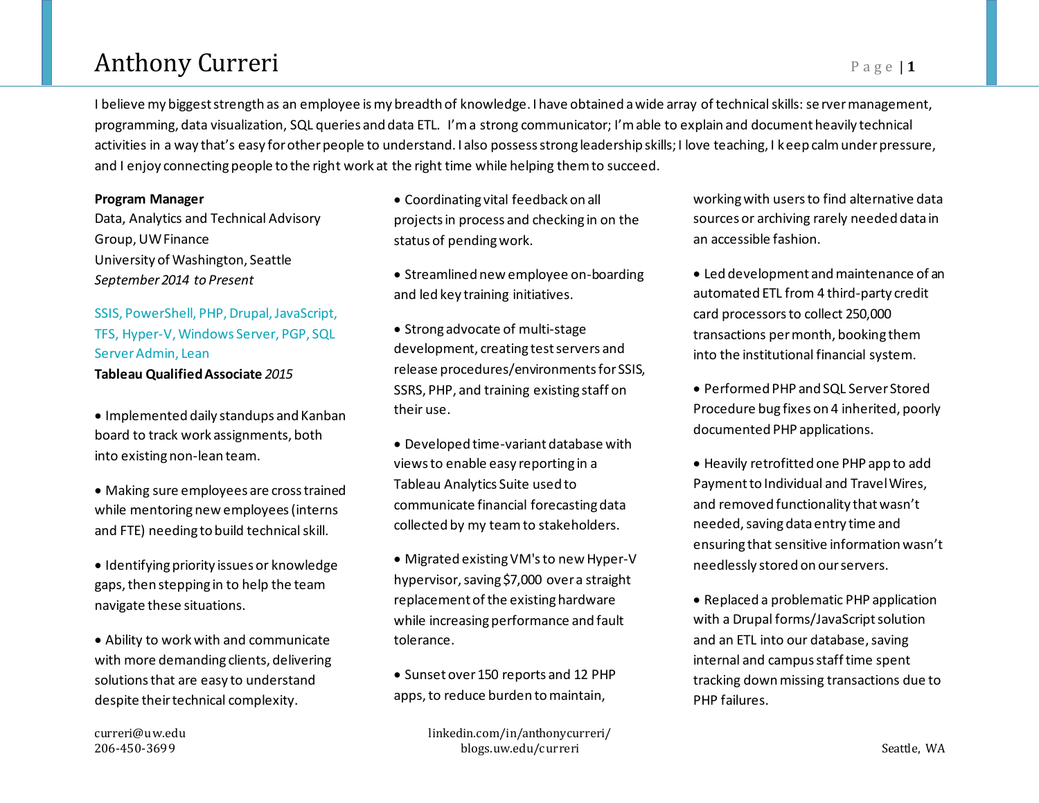## Anthony Curreri **Page 11**

I believe my biggest strength as an employee is my breadth of knowledge. I have obtained a wide array of technical skills: se rver management, programming, data visualization, SQL queries and data ETL. I'm a strong communicator; I'm able to explain and document heavily technical activities in a way that's easy for other people to understand. I also possess strong leadership skills; I love teaching, I keep calm under pressure, and I enjoy connecting people to the right work at the right time while helping them to succeed.

#### **Program Manager**

Data, Analytics and Technical Advisory Group, UW Finance University of Washington, Seattle *September 2014 to Present*

### SSIS, PowerShell, PHP, Drupal, JavaScript, TFS, Hyper-V, Windows Server, PGP, SQL Server Admin, Lean **Tableau Qualified Associate** *2015*

• Implemented daily standups and Kanban board to track work assignments, both into existing non-lean team.

- Making sure employees are cross trained while mentoring new employees (interns and FTE) needing to build technical skill.
- Identifying priority issues or knowledge gaps, then stepping in to help the team navigate these situations.
- Ability to work with and communicate with more demanding clients, delivering solutions that are easy to understand despite their technical complexity.

• Coordinating vital feedback on all projects in process and checking in on the status of pending work.

- Streamlined new employee on-boarding and led key training initiatives.
- Strong advocate of multi-stage development, creating test servers and release procedures/environments for SSIS, SSRS, PHP, and training existing staff on their use.
- Developed time-variant database with views to enable easy reporting in a Tableau Analytics Suite used to communicate financial forecasting data collected by my teamto stakeholders.
- Migrated existing VM's to new Hyper-V hypervisor, saving \$7,000 over a straight replacement of the existing hardware while increasing performance and fault tolerance.

• Sunset over 150 reports and 12 PHP apps, to reduce burden to maintain,

working with users to find alternative data sources or archiving rarely needed data in an accessible fashion.

- Led development and maintenance of an automated ETL from 4 third-party credit card processors to collect 250,000 transactions per month, booking them into the institutional financial system.
- Performed PHP and SQL Server Stored Procedure bug fixes on 4 inherited, poorly documented PHP applications.
- Heavily retrofitted one PHP app to add Payment to Individual and Travel Wires, and removed functionality that wasn't needed, saving data entry time and ensuring that sensitive information wasn't needlessly stored on our servers.
- Replaced a problematic PHP application with a Drupal forms/JavaScript solution and an ETL into our database, saving internal and campus staff time spent tracking down missing transactions due to PHP failures.